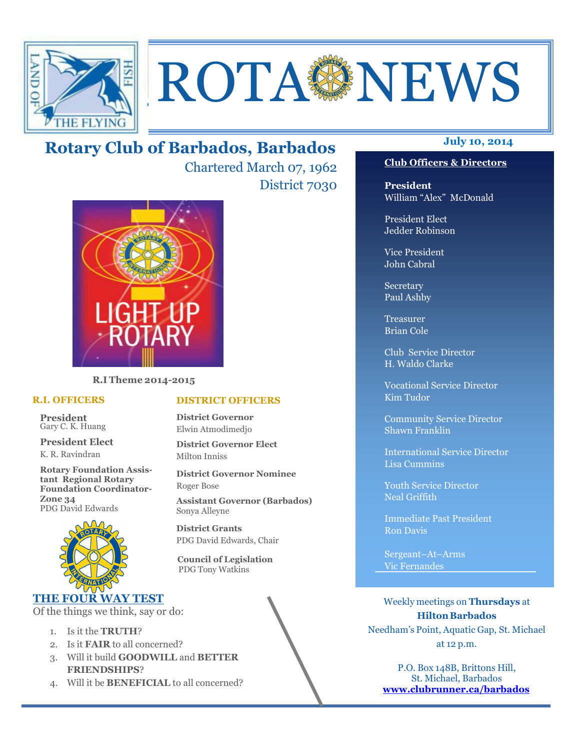

# **ROTA NEWS**

# **July 10, 2014 Rotary Club of Barbados, Barbados**

Chartered March 07, 1962 District 7030



**R.I Theme 2014-2015** 

#### **R.I. OFFICERS**

**President** Gary C. K. Huang

**President Elect** K. R. Ravindran

**Rotary Foundation Assistant Regional Rotary Foundation Coordinator-Zone 34**  PDG David Edwards



#### **THE FOUR WAY TEST**

Of the things we think, say or do:

- 1. Is it the **TRUTH**?
- 2. Is it **FAIR** to all concerned?
- 3. Will it build **GOODWILL** and **BETTER FRIENDSHIPS**?
- 4. Will it be **BENEFICIAL** to all concerned?

#### **Club Officers & Directors**

**President** William "Alex" McDonald

President Elect Jedder Robinson

Vice President John Cabral

Secretary Paul Ashby

Treasurer Brian Cole

Club Service Director H. Waldo Clarke

Vocational Service Director Kim Tudor

Community Service Director Shawn Franklin

International Service Director Lisa Cummins

Youth Service Director Neal Griffith

Immediate Past President Ron Davis

Sergeant–At–Arms Vic Fernandes

Weekly meetings on **Thursdays** at **Hilton Barbados** Needham's Point, Aquatic Gap, St. Michael at 12 p.m.

P.O. Box 148B, Brittons Hill, St. Michael, Barbados **www.clubrunner.ca/barbados**

#### **DISTRICT OFFICERS**

**District Governor** Elwin Atmodimedjo

**District Governor Elect** Milton Inniss

**District Governor Nominee**  Roger Bose

**Assistant Governor (Barbados)** Sonya Alleyne

**District Grants**  PDG David Edwards, Chair

 **Council of Legislation**  PDG Tony Watkins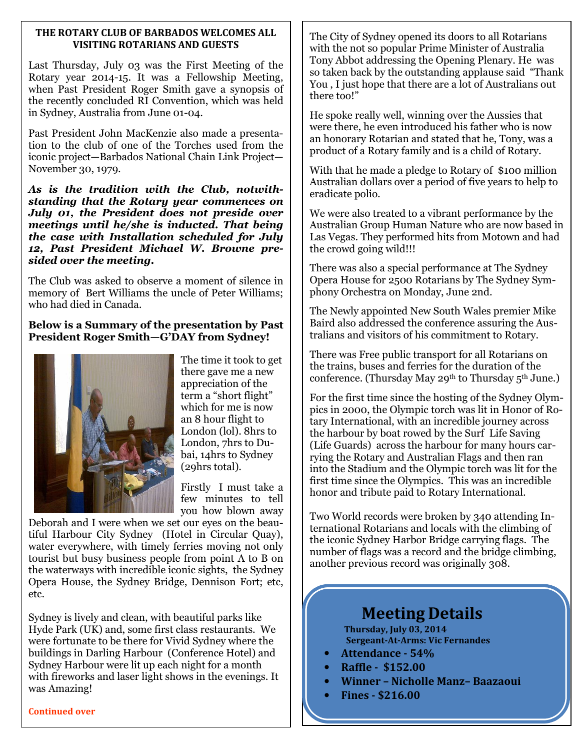#### **THE ROTARY CLUB OF BARBADOS WELCOMES ALL VISITING ROTARIANS AND GUESTS**

Last Thursday, July 03 was the First Meeting of the Rotary year 2014-15. It was a Fellowship Meeting, when Past President Roger Smith gave a synopsis of the recently concluded RI Convention, which was held in Sydney, Australia from June 01-04.

Past President John MacKenzie also made a presentation to the club of one of the Torches used from the iconic project—Barbados National Chain Link Project— November 30, 1979.

*As is the tradition with the Club, notwithstanding that the Rotary year commences on July 01, the President does not preside over meetings until he/she is inducted. That being the case with Installation scheduled for July 12, Past President Michael W. Browne presided over the meeting.* 

The Club was asked to observe a moment of silence in memory of Bert Williams the uncle of Peter Williams; who had died in Canada.

#### **Below is a Summary of the presentation by Past President Roger Smith—G'DAY from Sydney!**



The time it took to get there gave me a new appreciation of the term a "short flight" which for me is now an 8 hour flight to London (lol). 8hrs to London, 7hrs to Dubai, 14hrs to Sydney (29hrs total).

Firstly I must take a few minutes to tell you how blown away

Deborah and I were when we set our eyes on the beautiful Harbour City Sydney (Hotel in Circular Quay), water everywhere, with timely ferries moving not only tourist but busy business people from point A to B on the waterways with incredible iconic sights, the Sydney Opera House, the Sydney Bridge, Dennison Fort; etc, etc.

Sydney is lively and clean, with beautiful parks like Hyde Park (UK) and, some first class restaurants. We were fortunate to be there for Vivid Sydney where the buildings in Darling Harbour (Conference Hotel) and Sydney Harbour were lit up each night for a month with fireworks and laser light shows in the evenings. It was Amazing!

The City of Sydney opened its doors to all Rotarians with the not so popular Prime Minister of Australia Tony Abbot addressing the Opening Plenary. He was so taken back by the outstanding applause said "Thank You , I just hope that there are a lot of Australians out there too!"

He spoke really well, winning over the Aussies that were there, he even introduced his father who is now an honorary Rotarian and stated that he, Tony, was a product of a Rotary family and is a child of Rotary.

With that he made a pledge to Rotary of \$100 million Australian dollars over a period of five years to help to eradicate polio.

We were also treated to a vibrant performance by the Australian Group Human Nature who are now based in Las Vegas. They performed hits from Motown and had the crowd going wild!!!

There was also a special performance at The Sydney Opera House for 2500 Rotarians by The Sydney Symphony Orchestra on Monday, June 2nd.

The Newly appointed New South Wales premier Mike Baird also addressed the conference assuring the Australians and visitors of his commitment to Rotary.

There was Free public transport for all Rotarians on the trains, buses and ferries for the duration of the conference. (Thursday May 29<sup>th</sup> to Thursday  $5<sup>th</sup>$  June.)

For the first time since the hosting of the Sydney Olympics in 2000, the Olympic torch was lit in Honor of Rotary International, with an incredible journey across the harbour by boat rowed by the Surf Life Saving (Life Guards) across the harbour for many hours carrying the Rotary and Australian Flags and then ran into the Stadium and the Olympic torch was lit for the first time since the Olympics. This was an incredible honor and tribute paid to Rotary International.

Two World records were broken by 340 attending International Rotarians and locals with the climbing of the iconic Sydney Harbor Bridge carrying flags. The number of flags was a record and the bridge climbing, another previous record was originally 308.

# **Meeting Details**

**Thursday, July 03, 2014 Sergeant-At-Arms: Vic Fernandes** 

- **Attendance 54%**
- **Raffle \$152.00**
- **Winner Nicholle Manz– Baazaoui**
- **Fines \$216.00**

#### **Continued over**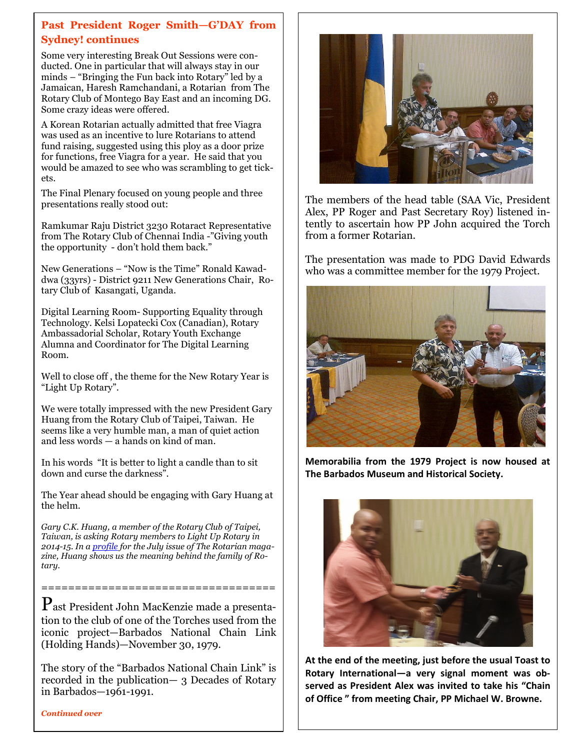#### **Past President Roger Smith—G'DAY from Sydney! continues**

Some very interesting Break Out Sessions were conducted. One in particular that will always stay in our minds – "Bringing the Fun back into Rotary" led by a Jamaican, Haresh Ramchandani, a Rotarian from The Rotary Club of Montego Bay East and an incoming DG. Some crazy ideas were offered.

A Korean Rotarian actually admitted that free Viagra was used as an incentive to lure Rotarians to attend fund raising, suggested using this ploy as a door prize for functions, free Viagra for a year. He said that you would be amazed to see who was scrambling to get tickets.

The Final Plenary focused on young people and three presentations really stood out:

Ramkumar Raju District 3230 Rotaract Representative from The Rotary Club of Chennai India -"Giving youth the opportunity - don't hold them back."

New Generations – "Now is the Time" Ronald Kawaddwa (33yrs) - District 9211 New Generations Chair, Rotary Club of Kasangati, Uganda.

Digital Learning Room- Supporting Equality through Technology. Kelsi Lopatecki Cox (Canadian), Rotary Ambassadorial Scholar, Rotary Youth Exchange Alumna and Coordinator for The Digital Learning Room.

Well to close off , the theme for the New Rotary Year is "Light Up Rotary".

We were totally impressed with the new President Gary Huang from the Rotary Club of Taipei, Taiwan. He seems like a very humble man, a man of quiet action and less words — a hands on kind of man.

In his words "It is better to light a candle than to sit down and curse the darkness".

The Year ahead should be engaging with Gary Huang at the helm.

*Gary C.K. Huang, a member of the Rotary Club of Taipei, Taiwan, is asking Rotary members to Light Up Rotary in 2014-15. In a profile for the July issue of The Rotarian magazine, Huang shows us the meaning behind the family of Rotary.*

Past President John MacKenzie made a presentation to the club of one of the Torches used from the iconic project—Barbados National Chain Link (Holding Hands)—November 30, 1979.

===================================

The story of the "Barbados National Chain Link" is recorded in the publication— 3 Decades of Rotary in Barbados—1961-1991.

*Continued over* 



The members of the head table (SAA Vic, President Alex, PP Roger and Past Secretary Roy) listened intently to ascertain how PP John acquired the Torch from a former Rotarian.

The presentation was made to PDG David Edwards who was a committee member for the 1979 Project.



**Memorabilia from the 1979 Project is now housed at The Barbados Museum and Historical Society.** 



**At the end of the meeting, just before the usual Toast to Rotary International—a very signal moment was observed as President Alex was invited to take his "Chain of Office " from meeting Chair, PP Michael W. Browne.**